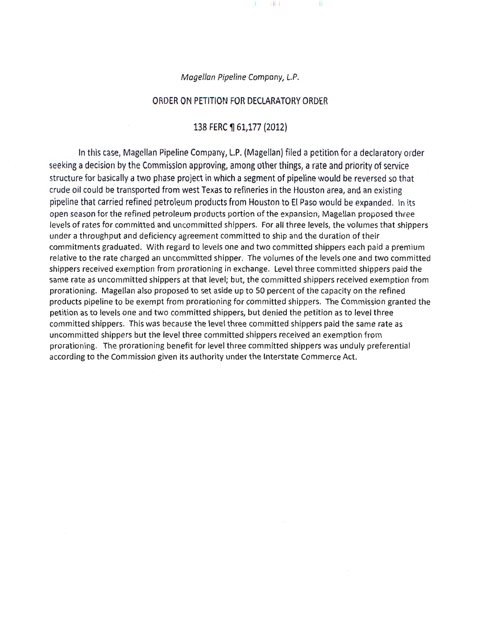Magellan Pipeline Company, L.P.

T.

 $10-1$ 

### ORDER ON PETITION FOR DECLARATORY ORDER

#### 138 FERC ¶ 61,177 (2012)

In this case, Magellan Pipeline Company, L.P. {Magellan) filed a petition for a declaratory order seeking a decision by the Commission approving, among other things, a rate and priority of service structure for basically a two phase project in which a segment of pipeline would be reversed so that crude oil could be transported from west Texas to refineries in the Houston area, and an existing pipeline that carried refined petroleum products from Houston to El Paso would be expanded. In its open season for the refined petroleum products portion of the expansion, Magellan proposed three levels of rates for committed and uncommitted shippers. For all three levels, the volumes that shippers under a throughput and deficiency agreement committed to ship and the duration of their commitments graduated. With regard to levels one and two committed shippers each paid a premium relative to the rate charged an uncommitted shipper. The volumes of the levels one and two committed shippers received exemption from prorationing in exchange. Level three committed shippers paid the same rate as uncommitted shippers at that level; but, the committed shippers received exemption from prorationing. Magellan also proposed to set aside up to 50 percent of the capacity on the refined products pipeline to be exempt from prorationing for committed shippers. The Commission granted the petition as to levels one and two committed shippers, but denied the petition as to level three committed shippers. This was because the level three committed shippers paid the same rate as uncommitted shippers but the level three committed shippers received an exemption from prorationing. The prorationing benefit for level three committed shippers was unduly preferential according to the Commission given its authority under the Interstate Commerce Act.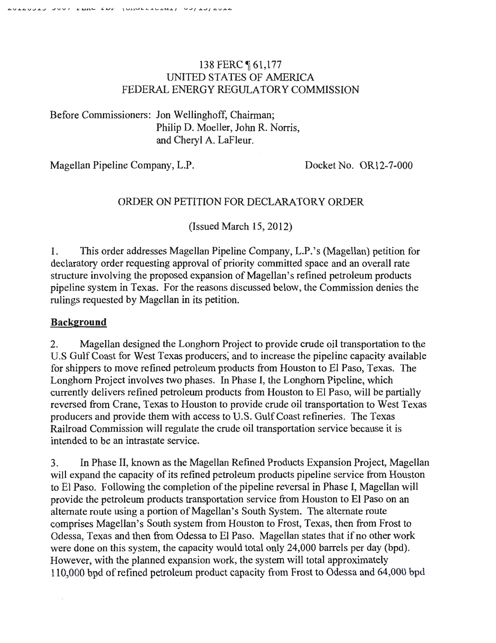# 138 FERC **[61,177** UNITED STATES OF AMERICA FEDERAL ENERGY REGULATORY COMMISSION

Before Commissioners: Jon Wellinghoff, Chairman; Philip D. Moeller, John R. Norris, and Cheryl A. LaFleur.

Magellan Pipeline Company, L.P. Docket No. OR12-7-000

# ORDER ON PETITION FOR DECLARATORY ORDER

(Issued March 15, 2012)

1. This order addresses Magellan Pipeline Company, L.P.'s (Magellan) petition for declaratory order requesting approval of priority committed space and an overall rate structure involving the proposed expansion of Magellan's refined petroleum products pipeline system in Texas. For the reasons discussed below, the Commission denies the rulings requested by Magellan in its petition.

# **Background**

 $\bar{z}$ 

2. Magellan designed the Longhorn Project to provide crude oil transportation to the U.S Gulf Coast for West Texas producers, and to increase the pipeline capacity available for shippers to move refined petroleum products from Houston to El Paso, Texas. The Longhorn Project involves two phases. In Phase I, the Longhorn Pipeline, which currently delivers refined petroleum products from Houston to El Paso, will be partially reversed from Crane, Texas to Houston to provide crude oil transportation to West Texas producers and provide them with access to U.S. Gulf Coast refineries. The Texas Railroad Commission will regulate the crude oil transportation service because it is intended to be an intrastate service.

3. In Phase II, known as the Magellan Refined Products Expansion Project, Magellan will expand the capacity of its refined petroleum products pipeline service from Houston to El Paso. Following the completion of the pipeline reversal in Phase I, Magellan will provide the petroleum products transportation service from Houston to El Paso on an alternate route using a portion of Magellan's South System. The alternate route comprises Magellan's South system from Houston to Frost, Texas, then from Frost to Odessa, Texas and then from Odessa to El Paso. Magellan states that if no other work were done on this system, the capacity would total only 24,000 barrels per day (bpd). However, with the planned expansion work, the system will total approximately 110,000 bpd of refined petroleum product capacity from Frost to Odessa and 64,000 bpd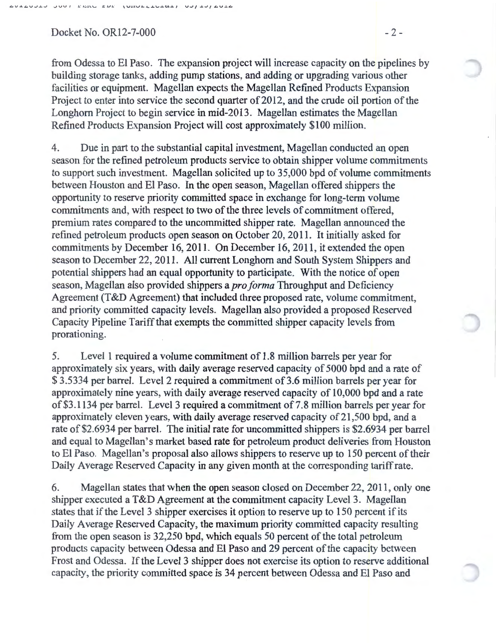$Docket No. OR12-7-000$  -2-

from Odessa to El Paso. The expansion project will increase capacity on the pipelines by building storage tanks, adding pump stations, and adding or upgrading various other facilities or equipment. Magellan expects the Magellan Refined Products Expansion Project to enter into service the second quarter of 2012, and the crude oil portion of the Longhorn Project to begin service in mid-2013. Magellan estimates the Magellan Refined Products Expansion Project will cost approximately \$100 million.

4. Due in part to the substantial capital investment, Magellan conducted an open season for the refined petroleum products service to obtain shipper volume commitments to support such investment. Magellan solicited up to 35,000 bpd of volume commitments between Houston and El Paso. In the open season, Magellan offered shippers the opportunity to reserve priority committed space in exchange for long-term volume commitments and, with respect to two of the three levels of commitment offered, premium rates compared to the uncommitted shipper rate. Magellan announced the refined petroleum products open season on October 20, 2011. It initially asked for commitments by December 16, 2011. On December 16, 2011, it extended the open season to December 22, 2011. All current Longhorn and South System Shippers and potential shippers had an equal opportunity to participate. With the notice of open season, Magellan also provided shippers a *pro forma* Throughput and Deficiency Agreement (T&D Agreement) that included three proposed rate, volume commitment, and priority committed capacity levels. Magellan also provided a proposed Reserved Capacity Pipeline Tariff that exempts the committed shipper capacity levels from prorationing.

5. Levell required a volume commitment of 1.8 million barrels per year for approximately six years, with daily average reserved capacity of 5000 bpd and a rate of \$3.5334 per barrel. Level 2 required a commitment of 3.6 million barrels per year for approximately nine years, with daily average reserved capacity of 10,000 bpd and a rate of\$3.1134 per barrel. Level 3 required a commitment of7.8 million barrels per year for approximately eleven years, with daily average reserved capacity of21,500 bpd, and a rate of \$2.6934 per barrel. The initial rate for uncommitted shippers is \$2.6934 per barrel and equal to Magellan's market based rate for petroleum product deliveries from Houston to El Paso. Magellan's proposal also allows shippers to reserve up to 150 percent of their Daily Average Reserved Capacity in any given month at the corresponding tariff rate.

6. Magellan states that when the open season closed on December 22, 2011, only one shipper executed a T&D Agreement at the commitment capacity Level 3. Magellan states that if the Level 3 shipper exercises it option to reserve up to 150 percent if its Daily Average Reserved Capacity, the maximum priority committed capacity resulting from the open season is 32,250 bpd, which equals 50 percent of the total petroleum products capacity between Odessa and El Paso and 29 percent of the capacity between Frost and Odessa. If the Level 3 shipper does not exercise its option to reserve additional capacity, the priority committed space is 34 percent between Odessa and El Paso and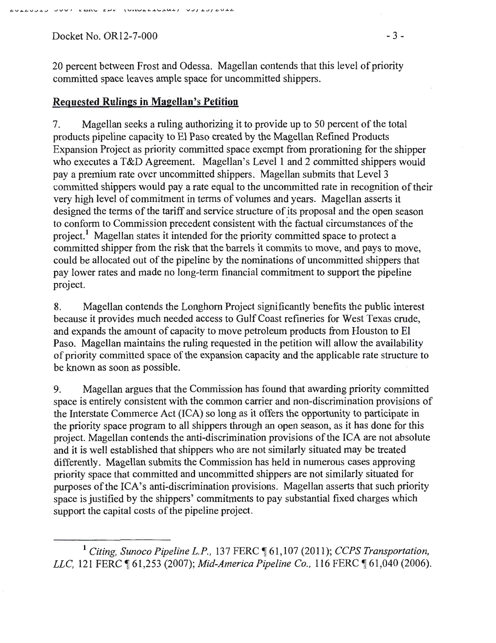Docket No. OR12-7-000 - 3 -

20 percent between Frost and Odessa. Magellan contends that this level of priority committed space leaves ample space for uncommitted shippers.

## **Requested Rulings in Magellan's Petition**

7. Magellan seeks a ruling authorizing it to provide up to 50 percent of the total products pipeline capacity to El Paso created by the Magellan Refined Products Expansion Project as priority committed space exempt from prorationing for the shipper who executes a T&D Agreement. Magellan's Level 1 and 2 committed shippers would pay a premium rate over uncommitted shippers. Magellan submits that Level3 committed shippers would pay a rate equal to the uncommitted rate in recognition of their very high level of commitment in terms of volumes and years. Magellan asserts it designed the terms of the tariff and service structure of its proposal and the open season to conform to Commission precedent consistent with the factual circumstances of the project.<sup>1</sup> Magellan states it intended for the priority committed space to protect a committed shipper from the risk that the barrels it commits to move, and pays to move, could be allocated out of the pipeline by the nominations of uncommitted shippers that pay lower rates and made no long-term financial commitment to support the pipeline project.

8. Magellan contends the Longhorn Project significantly benefits the public interest because it provides much needed access to Gulf Coast refineries for West Texas crude, and expands the amount of capacity to move petroleum products from Houston to El Paso. Magellan maintains the ruling requested in the petition will allow the availability of priority committed space of the expansion capacity and the applicable rate structure to be known as soon as possible.

9. Magellan argues that the Commission has found that awarding priority committed space is entirely consistent with the common carrier and non-discrimination provisions of the Interstate Commerce Act (ICA) so long as it offers the opportunity to participate in the priority space program to all shippers through an open season, as it has done for this project. Magellan contends the anti-discrimination provisions of the ICA are not absolute and it is well established that shippers who are not similarly situated may be treated differently. Magellan submits the Commission has held in numerous cases approving priority space that committed and uncommitted shippers are not similarly situated for purposes of the ICA's anti-discrimination provisions. Magellan asserts that such priority space is justified by the shippers' commitments to pay substantial fixed charges which support the capital costs of the pipeline project.

<sup>1</sup> Citing, Sunoco Pipeline L.P., 137 FERC  $\P$  61,107 (2011); *CCPS Transportation*, *LLC*, 121 FERC ¶ 61,253 (2007); *Mid-America Pipeline Co.*, 116 FERC ¶ 61,040 (2006).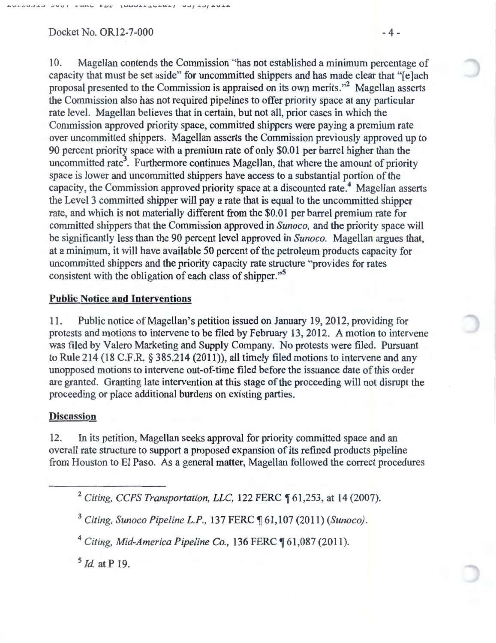$Docket No. OR12-7-000$  - 4 -

10. Magellan contends the Commission "has not established a minimum percentage of capacity that must be set aside" for uncommitted shippers and has made clear that "[e]ach proposal presented to the Commission is appraised on its own merits."2 Magellan asserts the Commission also has not required pipelines to offer priority space at any particular rate level. Magellan believes that in certain, but not all, prior cases in which the Commission approved priority space, committed shippers were paying a premium rate over. uncommitted shippers. Magellan asserts the Commission previously approved up to 90 percent priority space with a premium rate of only \$0.01 per barrel higher than the uncommitted rate<sup>3</sup>. Furthermore continues Magellan, that where the amount of priority space is lower and uncommitted shippers have access to a substantial portion of the capacity, the Commission approved priority space at a discounted rate.<sup>4</sup> Magellan asserts the Level3 committed shipper will pay a rate that is equal to the uncommitted shipper rate, and which is not materially different from the \$0.01 per barrel premium rate for committed shippers that the Commission approved in *Sunoco,* and the priority space will be significantly less than the 90 percent level approved in *Sunoco.* Magellan argues that, at a minimum, it will have available 50 percent of the petroleum products capacity for uncommitted shippers and the priority capacity rate structure "provides for rates consistent with the obligation of each class of shipper."<sup>5</sup>

## Public Notice and Interventions

11. Public notice of Magellan's petition issued on January 19, 2012, providing for protests and motions to intervene to be filed by February 13, 2012. A motion to intervene was filed by Valero Marketing and Supply Company. No protests were filed. Pursuant to Rule 214 (18 C.P.R. § 385.214 (2011)), all timely filed motions to intervene and any unopposed motions to intervene out-of-time filed before the issuance date of this order are granted. Granting late intervention at this stage of the proceeding will not disrupt the proceeding or place additional burdens on existing parties.

### **Discussion**

12. In its petition, Magellan seeks approval for priority committed space and an overall rate structure to support a proposed expansion of its refined products pipeline from Houston to El Paso. As a general matter, Magellan followed the correct procedures

<sup>3</sup> Citing, Sunoco Pipeline L.P., 137 FERC  $\P$  61,107 (2011) *(Sunoco)*.

<sup>4</sup> Citing, Mid-America Pipeline Co., 136 FERC ¶ 61,087 (2011).

<sup>5</sup>*!d.* atP 19.

<sup>&</sup>lt;sup>2</sup> Citing, CCPS Transportation, LLC, 122 FERC ¶ 61,253, at 14 (2007).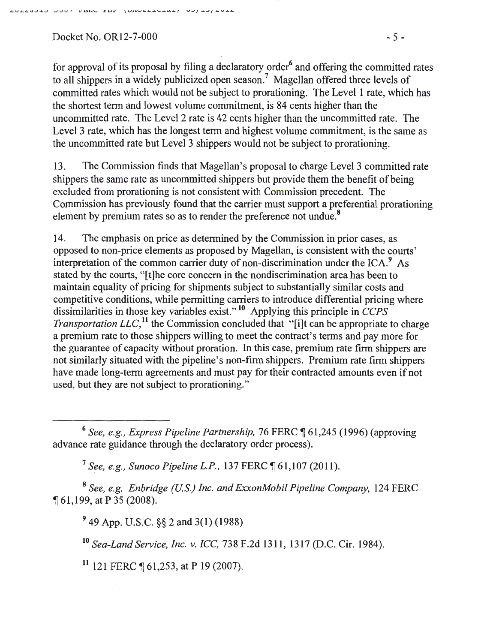$Docket No. OR12-7-000$   $-5-$ 

for approval of its proposal by filing a declaratory order<sup>6</sup> and offering the committed rates to all shippers in a widely publicized open season. 7 Magellan offered three levels of committed rates which would not be subject to prorationing. The Level 1 rate, which has the shortest term and lowest volume commitment, is 84 cents higher than the uncommitted rate. The Level 2 rate is 42 cents higher than the uncommitted rate. The Level 3 rate, which has the longest term and highest volume commitment, is the same as the uncommitted rate but Level 3 shippers would not be subject to prorationing.

13. The Commission finds that Magellan's proposal to charge Level 3 committed rate shippers the same rate as uncommitted shippers but provide them the benefit of being excluded from prorationing is not consistent with Commission precedent. The Commission has previously found that the carrier must support a preferential prorationing element by premium rates so as to render the preference not undue.<sup>8</sup>

14. The emphasis on price as determined by the Commission in prior cases, as opposed to non-price elements as proposed by Magellan, is consistent with the courts' interpretation of the common carrier duty of non-discrimination under the ICA. $9$  As stated by the courts, "[t]he core concern in the nondiscrimination area has been to maintain equality of pricing for shipments subject to substantially similar costs and competitive conditions, while permitting carriers to introduce differential pricing where dissimilarities in those key variables exist." 10 Applying this principle in *CCPS Transportation LLC*,<sup>11</sup> the Commission concluded that "[i]t can be appropriate to charge a premium rate to those shippers willing to meet the contract's terms and pay more for the guarantee of capacity without proration. In this case, premium rate firm shippers are not similarly situated with the pipeline's non-firm shippers. Premium rate firm shippers have made long-term agreements and must pay for their contracted amounts even if not used, but they are not subject to prorationing."

<sup>6</sup> See, e.g., Express Pipeline Partnership, 76 FERC ¶ 61,245 (1996) (approving advance rate guidance through the declaratory order process).

<sup>7</sup> See, e.g., Sunoco Pipeline L.P., 137 FERC ¶ 61,107 (2011).

<sup>8</sup>*See, e.g. Enbridge (U.S.) Inc. and ExxonMobil Pipeline Company,* 124 FERC <sup>~</sup>61,199, at P 35 (2008).

9 49 App. U.S.C. §§ 2 and 3(1) (1988)

<sup>10</sup>*Sea-Land Service, Inc. v. ICC,* 738 F.2d 1311, 1317 (D.C. Cir. 1984).

 $11$  121 FERC ¶ 61,253, at P 19 (2007).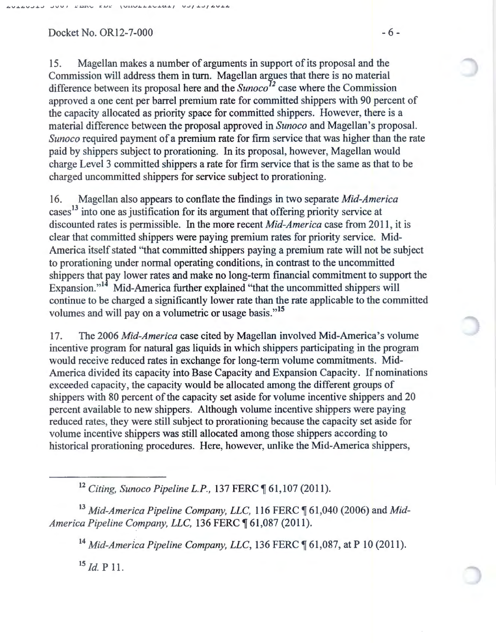$Docket No. OR12-7-000$  -6 -

15. Magellan makes a number of arguments in support of its proposal and the Commission will address them in tum. Magellan argues that there is no material difference between its proposal here and the *Sunoco*<sup>12</sup> case where the Commission approved a one cent per barrel premium rate for committed shippers with 90 percent of the capacity allocated as priority space for committed shippers. However, there is a material difference between the proposal approved in *Sunoco* and Magellan's proposal. *Sunoco* required payment of a premium rate for firm service that was higher than the rate paid by shippers subject to prorationing. In its proposal, however, Magellan would charge Level 3 committed shippers a rate for firm service that is the same as that to be charged uncommitted shippers for service subject to prorationing.

16. Magellan also appears to conflate the findings in two separate *Mid-America*  cases<sup>13</sup> into one as justification for its argument that offering priority service at discounted rates is permissible. In the more recent *Mid-America* case from 2011, it is clear that committed shippers were paying premium rates for priority service. Mid-America itself stated "that committed shippers paying a premium rate will not be subject to prorationing under normal operating conditions, in contrast to the uncommitted shippers that pay lower rates and make no long-term financial commitment to support the Expansion."<sup>14</sup> Mid-America further explained "that the uncommitted shippers will continue to be charged a significantly lower rate than the rate applicable to the committed volumes and will pay on a volumetric or usage basis."<sup>15</sup>

17. The 2006 *Mid-America* case cited by Magellan involved Mid-America's volume incentive program for natural gas liquids in which shippers participating in the program would receive reduced rates in exchange for long-term volume commitments. Mid-America divided its capacity into Base Capacity and Expansion Capacity. If nominations exceeded capacity, the capacity would be allocated among the different groups of shippers with 80 percent of the capacity set aside for volume incentive shippers and 20 percent available to new shippers. Although volume incentive shippers were paying reduced rates, they were still subject to prorationing because the capacity set aside for volume incentive shippers was still allocated among those shippers according to historical prorationing procedures. Here, however, unlike the Mid-America shippers,

<sup>12</sup> Citing, Sunoco Pipeline L.P., 137 FERC ¶ 61,107 (2011).

<sup>13</sup> Mid-America Pipeline Company, LLC, 116 FERC ¶ 61,040 (2006) and Mid-*America Pipeline Company, LLC, 136 FERC*  $$61,087$  (2011).

<sup>14</sup> Mid-America Pipeline Company, LLC, 136 FERC ¶ 61,087, at P 10 (2011).

 $^{15}$  *Id.* P 11.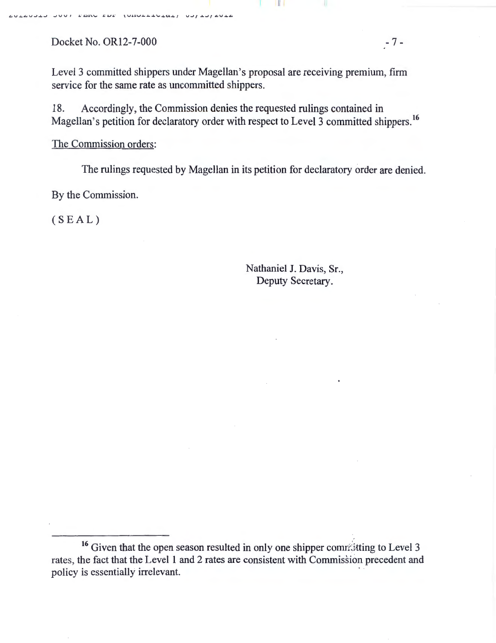Docket No. OR12-7-000 - 7 -

Level 3 committed shippers under Magellan's proposal are receiving premium, firm service for the same rate as uncommitted shippers.

18. Accordingly, the Commission denies the requested rulings contained in Magellan's petition for declaratory order with respect to Level 3 committed shippers.<sup>16</sup>

The Commission orders:

The rulings requested by Magellan in its petition for declaratory order are denied.

By the Commission.

(SEAL)

Nathaniel J. Davis, Sr., Deputy Secretary.

<sup>&</sup>lt;sup>16</sup> Given that the open season resulted in only one shipper comratting to Level 3 rates, the fact that the Level 1 and 2 rates are consistent with Commission precedent and policy is essentially irrelevant.